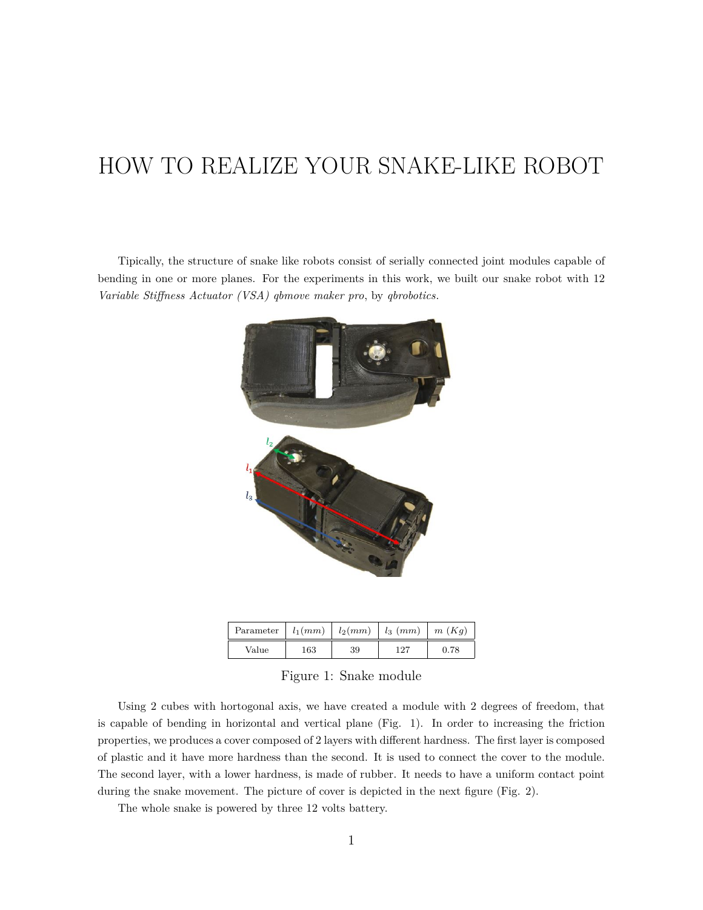## HOW TO REALIZE YOUR SNAKE-LIKE ROBOT

Tipically, the structure of snake like robots consist of serially connected joint modules capable of bending in one or more planes. For the experiments in this work, we built our snake robot with 12 *Variable Stiffness Actuator (VSA) qbmove maker pro*, by *qbrobotics*.



| Parameter $  l_1(mm)   l_2(mm)   l_3 (mm)$ |     |    |     | $\mid m(Kg)$ |
|--------------------------------------------|-----|----|-----|--------------|
| Value                                      | 163 | 39 | 127 | 0.78         |

Figure 1: Snake module

Using 2 cubes with hortogonal axis, we have created a module with 2 degrees of freedom, that is capable of bending in horizontal and vertical plane (Fig. 1). In order to increasing the friction properties, we produces a cover composed of 2 layers with different hardness. The first layer is composed of plastic and it have more hardness than the second. It is used to connect the cover to the module. The second layer, with a lower hardness, is made of rubber. It needs to have a uniform contact point during the snake movement. The picture of cover is depicted in the next figure (Fig. 2).

The whole snake is powered by three 12 volts battery.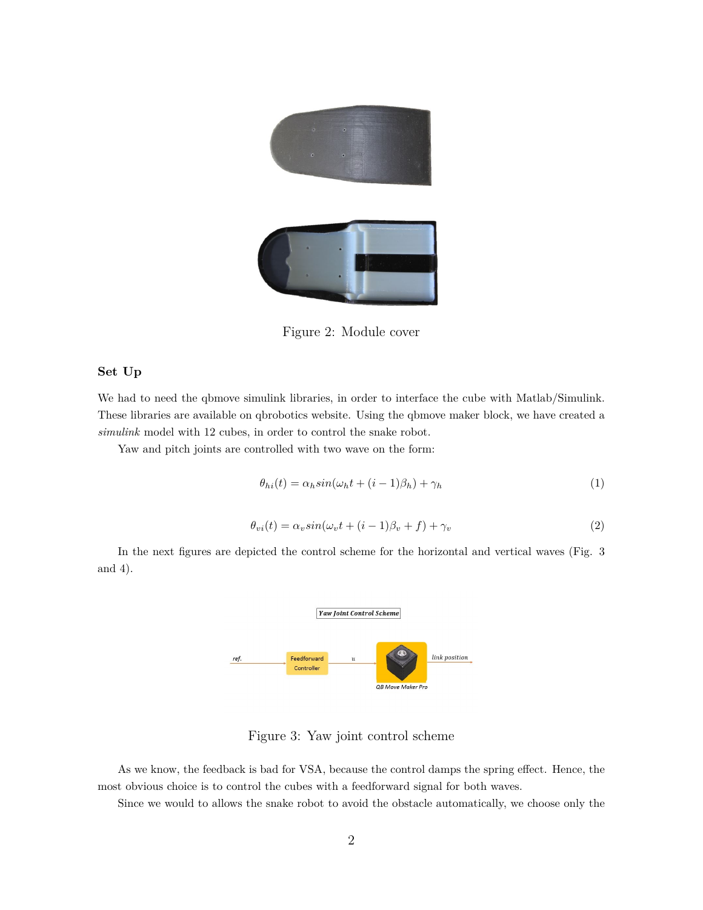

Figure 2: Module cover

## **Set Up**

We had to need the qbmove simulink libraries, in order to interface the cube with Matlab/Simulink. These libraries are available on qbrobotics website. Using the qbmove maker block, we have created a *simulink* model with 12 cubes, in order to control the snake robot.

Yaw and pitch joints are controlled with two wave on the form:

$$
\theta_{hi}(t) = \alpha_h \sin(\omega_h t + (i-1)\beta_h) + \gamma_h \tag{1}
$$

$$
\theta_{vi}(t) = \alpha_v \sin(\omega_v t + (i - 1)\beta_v + f) + \gamma_v \tag{2}
$$

In the next figures are depicted the control scheme for the horizontal and vertical waves (Fig. 3 and 4).



Figure 3: Yaw joint control scheme

As we know, the feedback is bad for VSA, because the control damps the spring effect. Hence, the most obvious choice is to control the cubes with a feedforward signal for both waves.

Since we would to allows the snake robot to avoid the obstacle automatically, we choose only the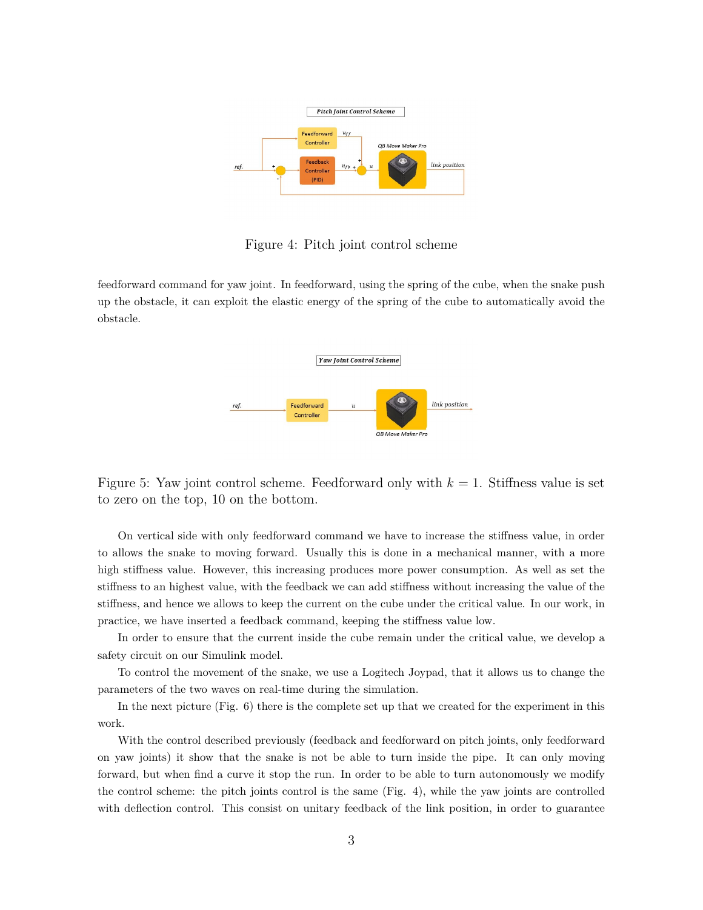

Figure 4: Pitch joint control scheme

feedforward command for yaw joint. In feedforward, using the spring of the cube, when the snake push up the obstacle, it can exploit the elastic energy of the spring of the cube to automatically avoid the obstacle.



Figure 5: Yaw joint control scheme. Feedforward only with *k* = 1. Stiffness value is set to zero on the top, 10 on the bottom.

On vertical side with only feedforward command we have to increase the stiffness value, in order to allows the snake to moving forward. Usually this is done in a mechanical manner, with a more high stiffness value. However, this increasing produces more power consumption. As well as set the stiffness to an highest value, with the feedback we can add stiffness without increasing the value of the stiffness, and hence we allows to keep the current on the cube under the critical value. In our work, in practice, we have inserted a feedback command, keeping the stiffness value low.

In order to ensure that the current inside the cube remain under the critical value, we develop a safety circuit on our Simulink model.

To control the movement of the snake, we use a Logitech Joypad, that it allows us to change the parameters of the two waves on real-time during the simulation.

In the next picture (Fig. 6) there is the complete set up that we created for the experiment in this work.

With the control described previously (feedback and feedforward on pitch joints, only feedforward on yaw joints) it show that the snake is not be able to turn inside the pipe. It can only moving forward, but when find a curve it stop the run. In order to be able to turn autonomously we modify the control scheme: the pitch joints control is the same (Fig. 4), while the yaw joints are controlled with deflection control. This consist on unitary feedback of the link position, in order to guarantee